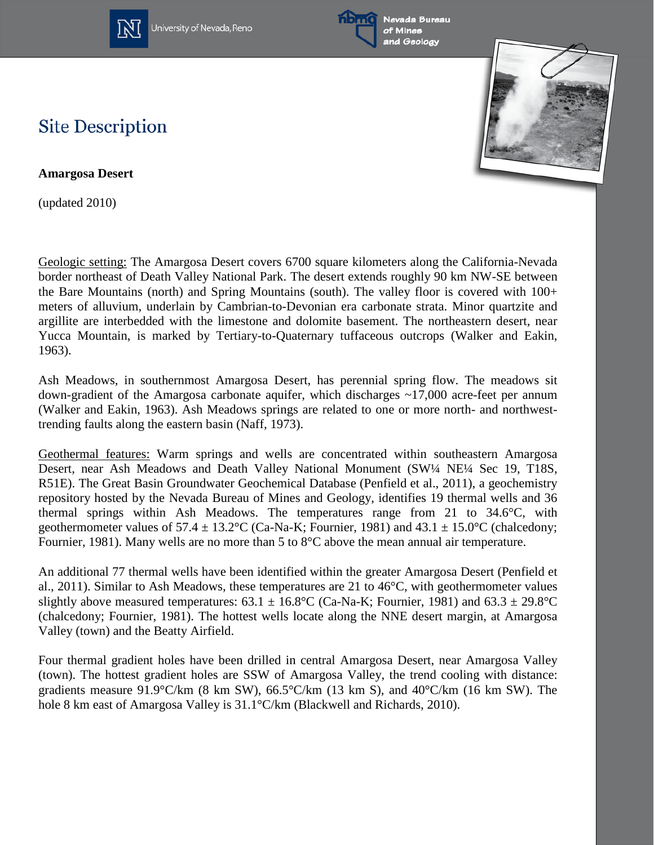

University of Nevada, Reno





## **Site Description**

**Amargosa Desert**

(updated 2010)

Geologic setting: The Amargosa Desert covers 6700 square kilometers along the California-Nevada border northeast of Death Valley National Park. The desert extends roughly 90 km NW-SE between the Bare Mountains (north) and Spring Mountains (south). The valley floor is covered with 100+ meters of alluvium, underlain by Cambrian-to-Devonian era carbonate strata. Minor quartzite and argillite are interbedded with the limestone and dolomite basement. The northeastern desert, near Yucca Mountain, is marked by Tertiary-to-Quaternary tuffaceous outcrops (Walker and Eakin, 1963).

Ash Meadows, in southernmost Amargosa Desert, has perennial spring flow. The meadows sit down-gradient of the Amargosa carbonate aquifer, which discharges ~17,000 acre-feet per annum (Walker and Eakin, 1963). Ash Meadows springs are related to one or more north- and northwesttrending faults along the eastern basin (Naff, 1973).

Geothermal features: Warm springs and wells are concentrated within southeastern Amargosa Desert, near Ash Meadows and Death Valley National Monument (SW¼ NE¼ Sec 19, T18S, R51E). The Great Basin Groundwater Geochemical Database (Penfield et al., 2011), a geochemistry repository hosted by the Nevada Bureau of Mines and Geology, identifies 19 thermal wells and 36 thermal springs within Ash Meadows. The temperatures range from 21 to 34.6°C, with geothermometer values of  $57.4 \pm 13.2$ °C (Ca-Na-K; Fournier, 1981) and  $43.1 \pm 15.0$ °C (chalcedony; Fournier, 1981). Many wells are no more than 5 to 8°C above the mean annual air temperature.

An additional 77 thermal wells have been identified within the greater Amargosa Desert (Penfield et al., 2011). Similar to Ash Meadows, these temperatures are 21 to 46°C, with geothermometer values slightly above measured temperatures:  $63.1 \pm 16.8$ °C (Ca-Na-K; Fournier, 1981) and  $63.3 \pm 29.8$ °C (chalcedony; Fournier, 1981). The hottest wells locate along the NNE desert margin, at Amargosa Valley (town) and the Beatty Airfield.

Four thermal gradient holes have been drilled in central Amargosa Desert, near Amargosa Valley (town). The hottest gradient holes are SSW of Amargosa Valley, the trend cooling with distance: gradients measure 91.9°C/km (8 km SW),  $66.5$ °C/km (13 km S), and  $40$ °C/km (16 km SW). The hole 8 km east of Amargosa Valley is 31.1°C/km (Blackwell and Richards, 2010).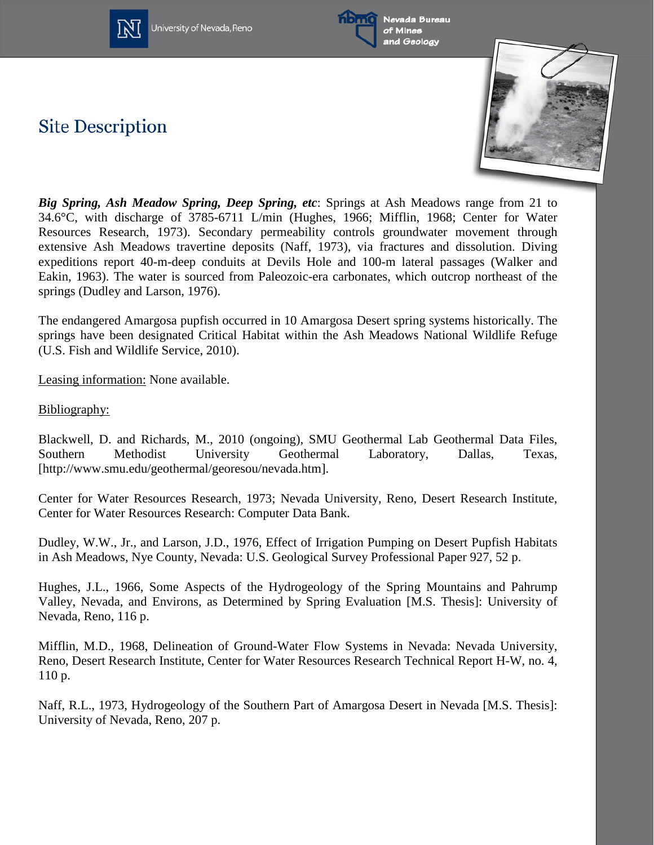

University of Nevada, Reno



**Site Description** 



*Big Spring, Ash Meadow Spring, Deep Spring, etc*: Springs at Ash Meadows range from 21 to 34.6°C, with discharge of 3785-6711 L/min (Hughes, 1966; Mifflin, 1968; Center for Water Resources Research, 1973). Secondary permeability controls groundwater movement through extensive Ash Meadows travertine deposits (Naff, 1973), via fractures and dissolution. Diving expeditions report 40-m-deep conduits at Devils Hole and 100-m lateral passages (Walker and Eakin, 1963). The water is sourced from Paleozoic-era carbonates, which outcrop northeast of the springs (Dudley and Larson, 1976).

The endangered Amargosa pupfish occurred in 10 Amargosa Desert spring systems historically. The springs have been designated Critical Habitat within the Ash Meadows National Wildlife Refuge (U.S. Fish and Wildlife Service, 2010).

Leasing information: None available.

Bibliography:

Blackwell, D. and Richards, M., 2010 (ongoing), SMU Geothermal Lab Geothermal Data Files, Southern Methodist University Geothermal Laboratory, Dallas, Texas, [http://www.smu.edu/geothermal/georesou/nevada.htm].

Center for Water Resources Research, 1973; Nevada University, Reno, Desert Research Institute, Center for Water Resources Research: Computer Data Bank.

Dudley, W.W., Jr., and Larson, J.D., 1976, Effect of Irrigation Pumping on Desert Pupfish Habitats in Ash Meadows, Nye County, Nevada: U.S. Geological Survey Professional Paper 927, 52 p.

Hughes, J.L., 1966, Some Aspects of the Hydrogeology of the Spring Mountains and Pahrump Valley, Nevada, and Environs, as Determined by Spring Evaluation [M.S. Thesis]: University of Nevada, Reno, 116 p.

Mifflin, M.D., 1968, Delineation of Ground-Water Flow Systems in Nevada: Nevada University, Reno, Desert Research Institute, Center for Water Resources Research Technical Report H-W, no. 4, 110 p.

Naff, R.L., 1973, Hydrogeology of the Southern Part of Amargosa Desert in Nevada [M.S. Thesis]: University of Nevada, Reno, 207 p.